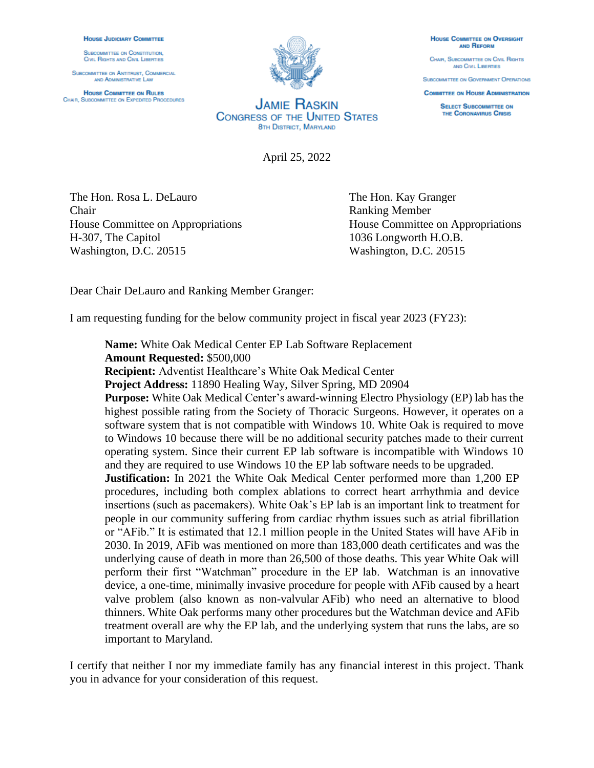## **HOUSE JUDICIARY COMMITTEE**

SUBCOMMITTEE ON CONSTITUTION, **CIVIL RIGHTS AND CIVIL LIBERTIES** 

**SUBCOMMITTEE ON ANTITRUST. COMMERCIAL** AND ADMINISTRATIVE LAW

**HOUSE COMMITTEE ON RULES** CHAIR, SUBCOMMITTEE ON EXPEDITED PROCEDURES



**JAMIE RASKIN CONGRESS OF THE UNITED STATES 8TH DISTRICT, MARYLAND** 

April 25, 2022

The Hon. Rosa L. DeLauro The Hon. Kay Granger Chair Ranking Member House Committee on Appropriations House Committee on Appropriations H-307, The Capitol 1036 Longworth H.O.B. Washington, D.C. 20515 Washington, D.C. 20515

Dear Chair DeLauro and Ranking Member Granger:

I am requesting funding for the below community project in fiscal year 2023 (FY23):

**Name:** White Oak Medical Center EP Lab Software Replacement **Amount Requested:** \$500,000

**Recipient:** Adventist Healthcare's White Oak Medical Center

**Project Address:** 11890 Healing Way, Silver Spring, MD 20904

**Purpose:** White Oak Medical Center's award-winning Electro Physiology (EP) lab has the highest possible rating from the Society of Thoracic Surgeons. However, it operates on a software system that is not compatible with Windows 10. White Oak is required to move to Windows 10 because there will be no additional security patches made to their current operating system. Since their current EP lab software is incompatible with Windows 10 and they are required to use Windows 10 the EP lab software needs to be upgraded.

**Justification:** In 2021 the White Oak Medical Center performed more than 1,200 EP procedures, including both complex ablations to correct heart arrhythmia and device insertions (such as pacemakers). White Oak's EP lab is an important link to treatment for people in our community suffering from cardiac rhythm issues such as atrial fibrillation or "AFib." It is estimated that 12.1 million people in the United States will have AFib in 2030. In 2019, AFib was mentioned on more than 183,000 death certificates and was the underlying cause of death in more than 26,500 of those deaths. This year White Oak will perform their first "Watchman" procedure in the EP lab. Watchman is an innovative device, a one-time, minimally invasive procedure for people with AFib caused by a heart valve problem (also known as non-valvular AFib) who need an alternative to blood thinners. White Oak performs many other procedures but the Watchman device and AFib treatment overall are why the EP lab, and the underlying system that runs the labs, are so important to Maryland.

I certify that neither I nor my immediate family has any financial interest in this project. Thank you in advance for your consideration of this request.

**HOUSE COMMITTEE ON OVERSIGHT AND REFORM** 

CHAIR, SUBCOMMITTEE ON CIVIL RIGHTS AND CIVIL LIBERTIES

**SUBCOMMITTEE ON GOVERNMENT OPERATIONS COMMITTEE ON HOUSE ADMINISTRATION** 

> **SELECT SUBCOMMITTEE ON** THE CORONAVIRUS CRISIS